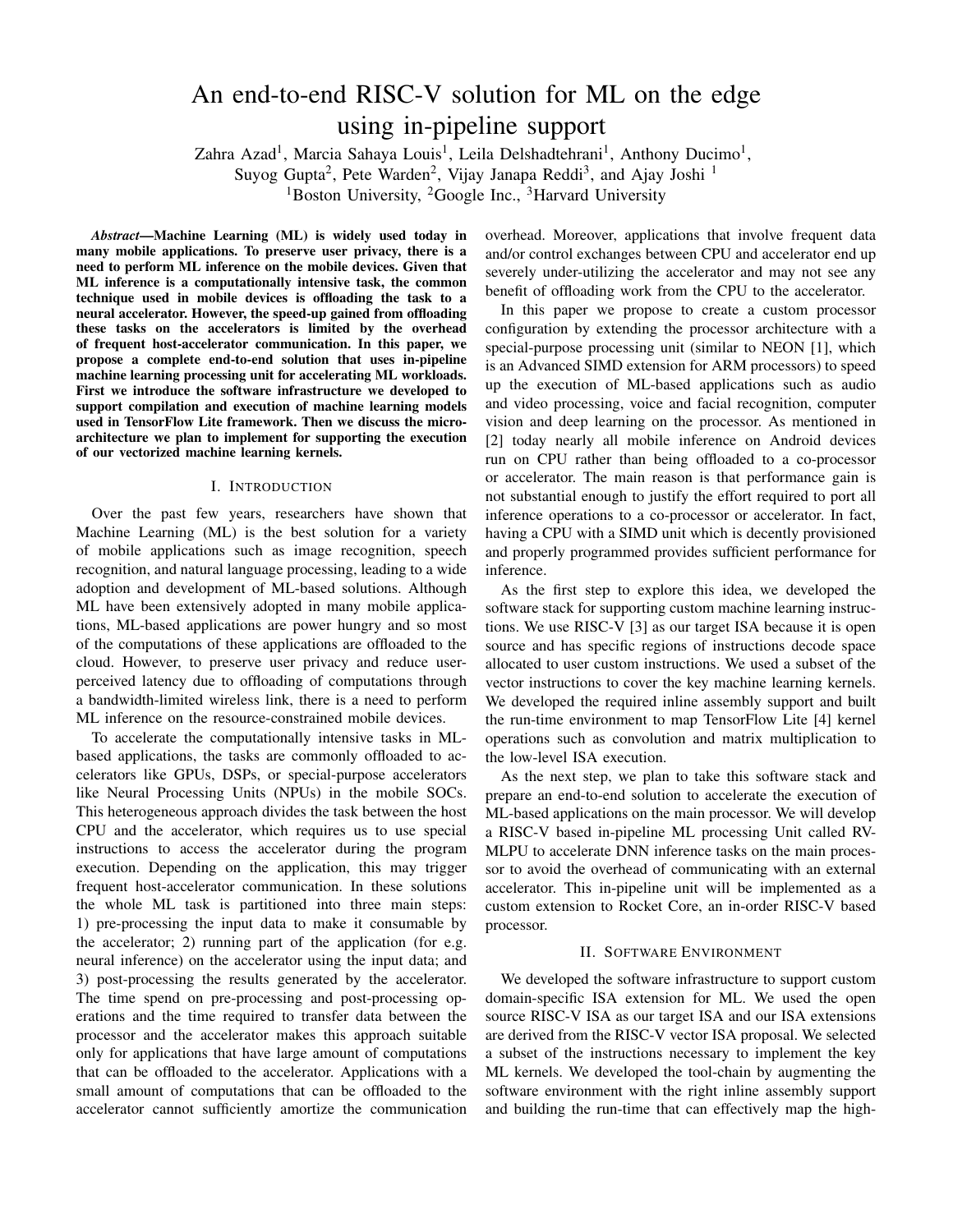# An end-to-end RISC-V solution for ML on the edge using in-pipeline support

Zahra Azad<sup>1</sup>, Marcia Sahaya Louis<sup>1</sup>, Leila Delshadtehrani<sup>1</sup>, Anthony Ducimo<sup>1</sup>,

Suyog Gupta<sup>2</sup>, Pete Warden<sup>2</sup>, Vijay Janapa Reddi<sup>3</sup>, and Ajay Joshi<sup>1</sup>

<sup>1</sup>Boston University, <sup>2</sup>Google Inc., <sup>3</sup>Harvard University

*Abstract*—Machine Learning (ML) is widely used today in many mobile applications. To preserve user privacy, there is a need to perform ML inference on the mobile devices. Given that ML inference is a computationally intensive task, the common technique used in mobile devices is offloading the task to a neural accelerator. However, the speed-up gained from offloading these tasks on the accelerators is limited by the overhead of frequent host-accelerator communication. In this paper, we propose a complete end-to-end solution that uses in-pipeline machine learning processing unit for accelerating ML workloads. First we introduce the software infrastructure we developed to support compilation and execution of machine learning models used in TensorFlow Lite framework. Then we discuss the microarchitecture we plan to implement for supporting the execution of our vectorized machine learning kernels.

### I. INTRODUCTION

Over the past few years, researchers have shown that Machine Learning (ML) is the best solution for a variety of mobile applications such as image recognition, speech recognition, and natural language processing, leading to a wide adoption and development of ML-based solutions. Although ML have been extensively adopted in many mobile applications, ML-based applications are power hungry and so most of the computations of these applications are offloaded to the cloud. However, to preserve user privacy and reduce userperceived latency due to offloading of computations through a bandwidth-limited wireless link, there is a need to perform ML inference on the resource-constrained mobile devices.

To accelerate the computationally intensive tasks in MLbased applications, the tasks are commonly offloaded to accelerators like GPUs, DSPs, or special-purpose accelerators like Neural Processing Units (NPUs) in the mobile SOCs. This heterogeneous approach divides the task between the host CPU and the accelerator, which requires us to use special instructions to access the accelerator during the program execution. Depending on the application, this may trigger frequent host-accelerator communication. In these solutions the whole ML task is partitioned into three main steps: 1) pre-processing the input data to make it consumable by the accelerator; 2) running part of the application (for e.g. neural inference) on the accelerator using the input data; and 3) post-processing the results generated by the accelerator. The time spend on pre-processing and post-processing operations and the time required to transfer data between the processor and the accelerator makes this approach suitable only for applications that have large amount of computations that can be offloaded to the accelerator. Applications with a small amount of computations that can be offloaded to the accelerator cannot sufficiently amortize the communication overhead. Moreover, applications that involve frequent data and/or control exchanges between CPU and accelerator end up severely under-utilizing the accelerator and may not see any benefit of offloading work from the CPU to the accelerator.

In this paper we propose to create a custom processor configuration by extending the processor architecture with a special-purpose processing unit (similar to NEON [1], which is an Advanced SIMD extension for ARM processors) to speed up the execution of ML-based applications such as audio and video processing, voice and facial recognition, computer vision and deep learning on the processor. As mentioned in [2] today nearly all mobile inference on Android devices run on CPU rather than being offloaded to a co-processor or accelerator. The main reason is that performance gain is not substantial enough to justify the effort required to port all inference operations to a co-processor or accelerator. In fact, having a CPU with a SIMD unit which is decently provisioned and properly programmed provides sufficient performance for inference.

As the first step to explore this idea, we developed the software stack for supporting custom machine learning instructions. We use RISC-V [3] as our target ISA because it is open source and has specific regions of instructions decode space allocated to user custom instructions. We used a subset of the vector instructions to cover the key machine learning kernels. We developed the required inline assembly support and built the run-time environment to map TensorFlow Lite [4] kernel operations such as convolution and matrix multiplication to the low-level ISA execution.

As the next step, we plan to take this software stack and prepare an end-to-end solution to accelerate the execution of ML-based applications on the main processor. We will develop a RISC-V based in-pipeline ML processing Unit called RV-MLPU to accelerate DNN inference tasks on the main processor to avoid the overhead of communicating with an external accelerator. This in-pipeline unit will be implemented as a custom extension to Rocket Core, an in-order RISC-V based processor.

## II. SOFTWARE ENVIRONMENT

We developed the software infrastructure to support custom domain-specific ISA extension for ML. We used the open source RISC-V ISA as our target ISA and our ISA extensions are derived from the RISC-V vector ISA proposal. We selected a subset of the instructions necessary to implement the key ML kernels. We developed the tool-chain by augmenting the software environment with the right inline assembly support and building the run-time that can effectively map the high